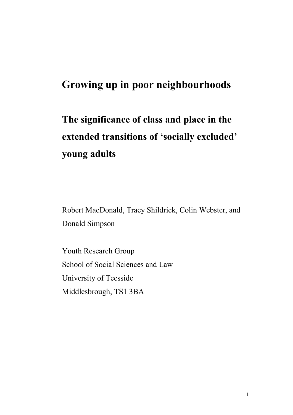## **Growing up in poor neighbourhoods**

# **The significance of class and place in the extended transitions of 'socially excluded' young adults**

Robert MacDonald, Tracy Shildrick, Colin Webster, and Donald Simpson

 Youth Research Group School of Social Sciences and Law University of Teesside Middlesbrough, TS1 3BA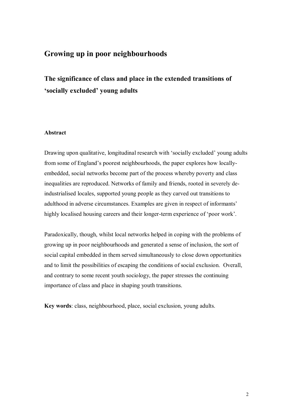## **Growing up in poor neighbourhoods**

## **The significance of class and place in the extended transitions of 'socially excluded' young adults**

#### **Abstract**

Drawing upon qualitative, longitudinal research with 'socially excluded' young adults from some of England"s poorest neighbourhoods, the paper explores how locallyembedded, social networks become part of the process whereby poverty and class inequalities are reproduced. Networks of family and friends, rooted in severely deindustrialised locales, supported young people as they carved out transitions to adulthood in adverse circumstances. Examples are given in respect of informants" highly localised housing careers and their longer-term experience of "poor work".

Paradoxically, though, whilst local networks helped in coping with the problems of growing up in poor neighbourhoods and generated a sense of inclusion, the sort of social capital embedded in them served simultaneously to close down opportunities and to limit the possibilities of escaping the conditions of social exclusion. Overall, and contrary to some recent youth sociology, the paper stresses the continuing importance of class and place in shaping youth transitions.

**Key words**: class, neighbourhood, place, social exclusion, young adults.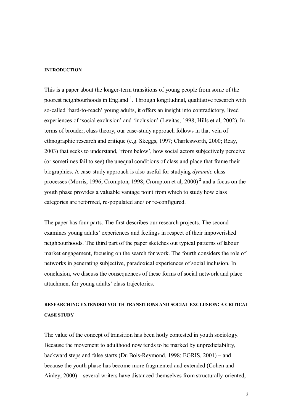#### **INTRODUCTION**

This is a paper about the longer-term transitions of young people from some of the poorest neighbourhoods in England<sup>1</sup>. Through longitudinal, qualitative research with so-called "hard-to-reach" young adults, it offers an insight into contradictory, lived experiences of "social exclusion" and "inclusion" (Levitas, 1998; Hills et al, 2002). In terms of broader, class theory, our case-study approach follows in that vein of ethnographic research and critique (e.g. Skeggs, 1997; Charlesworth, 2000; Reay, 2003) that seeks to understand, "from below", how social actors subjectively perceive (or sometimes fail to see) the unequal conditions of class and place that frame their biographies. A case-study approach is also useful for studying *dynamic* class processes (Morris, 1996; Crompton, 1998; Crompton et al, 2000)<sup>2</sup> and a focus on the youth phase provides a valuable vantage point from which to study how class categories are reformed, re-populated and/ or re-configured.

The paper has four parts. The first describes our research projects. The second examines young adults' experiences and feelings in respect of their impoverished neighbourhoods. The third part of the paper sketches out typical patterns of labour market engagement, focusing on the search for work. The fourth considers the role of networks in generating subjective, paradoxical experiences of social inclusion. In conclusion, we discuss the consequences of these forms of social network and place attachment for young adults" class trajectories.

### **RESEARCHING EXTENDED YOUTH TRANSITIONS AND SOCIAL EXCLUSION: A CRITICAL CASE STUDY**

The value of the concept of transition has been hotly contested in youth sociology. Because the movement to adulthood now tends to be marked by unpredictability, backward steps and false starts (Du Bois-Reymond, 1998; EGRIS, 2001) – and because the youth phase has become more fragmented and extended (Cohen and Ainley, 2000) – several writers have distanced themselves from structurally-oriented,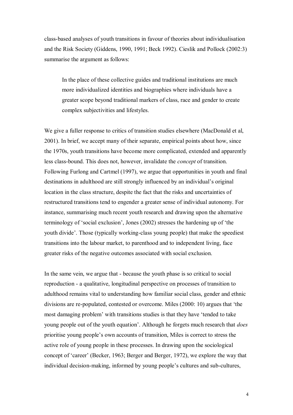class-based analyses of youth transitions in favour of theories about individualisation and the Risk Society (Giddens, 1990, 1991; Beck 1992). Cieslik and Pollock (2002:3) summarise the argument as follows:

In the place of these collective guides and traditional institutions are much more individualized identities and biographies where individuals have a greater scope beyond traditional markers of class, race and gender to create complex subjectivities and lifestyles.

We give a fuller response to critics of transition studies elsewhere (MacDonald et al, 2001). In brief, we accept many of their separate, empirical points about how, since the 1970s, youth transitions have become more complicated, extended and apparently less class-bound. This does not, however, invalidate the *concept* of transition. Following Furlong and Cartmel (1997), we argue that opportunities in youth and final destinations in adulthood are still strongly influenced by an individual"s original location in the class structure, despite the fact that the risks and uncertainties of restructured transitions tend to engender a greater sense of individual autonomy. For instance, summarising much recent youth research and drawing upon the alternative terminology of "social exclusion", Jones (2002) stresses the hardening up of "the youth divide". Those (typically working-class young people) that make the speediest transitions into the labour market, to parenthood and to independent living, face greater risks of the negative outcomes associated with social exclusion.

In the same vein, we argue that - because the youth phase is so critical to social reproduction - a qualitative, longitudinal perspective on processes of transition to adulthood remains vital to understanding how familiar social class, gender and ethnic divisions are re-populated, contested or overcome. Miles (2000: 10) argues that "the most damaging problem" with transitions studies is that they have "tended to take young people out of the youth equation". Although he forgets much research that *does* prioritise young people"s own accounts of transition, Miles is correct to stress the active role of young people in these processes. In drawing upon the sociological concept of "career" (Becker, 1963; Berger and Berger, 1972), we explore the way that individual decision-making, informed by young people's cultures and sub-cultures,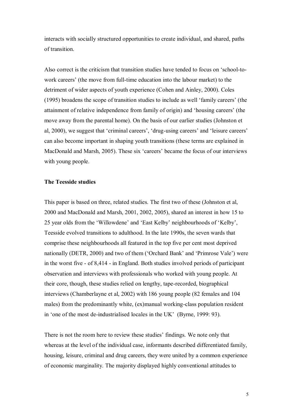interacts with socially structured opportunities to create individual, and shared, paths of transition.

Also correct is the criticism that transition studies have tended to focus on "school-towork careers" (the move from full-time education into the labour market) to the detriment of wider aspects of youth experience (Cohen and Ainley, 2000). Coles (1995) broadens the scope of transition studies to include as well "family careers" (the attainment of relative independence from family of origin) and "housing careers" (the move away from the parental home). On the basis of our earlier studies (Johnston et al, 2000), we suggest that 'criminal careers', 'drug-using careers' and 'leisure careers' can also become important in shaping youth transitions (these terms are explained in MacDonald and Marsh, 2005). These six 'careers' became the focus of our interviews with young people.

#### **The Teesside studies**

This paper is based on three, related studies. The first two of these (Johnston et al, 2000 and MacDonald and Marsh, 2001, 2002, 2005), shared an interest in how 15 to 25 year olds from the "Willowdene" and "East Kelby" neighbourhoods of "Kelby", Teesside evolved transitions to adulthood. In the late 1990s, the seven wards that comprise these neighbourhoods all featured in the top five per cent most deprived nationally (DETR, 2000) and two of them ("Orchard Bank" and "Primrose Vale") were in the worst five - of 8,414 - in England. Both studies involved periods of participant observation and interviews with professionals who worked with young people. At their core, though, these studies relied on lengthy, tape-recorded, biographical interviews (Chamberlayne et al, 2002) with 186 young people (82 females and 104 males) from the predominantly white, (ex)manual working-class population resident in "one of the most de-industrialised locales in the UK" (Byrne, 1999: 93).

There is not the room here to review these studies' findings. We note only that whereas at the level of the individual case, informants described differentiated family, housing, leisure, criminal and drug careers, they were united by a common experience of economic marginality. The majority displayed highly conventional attitudes to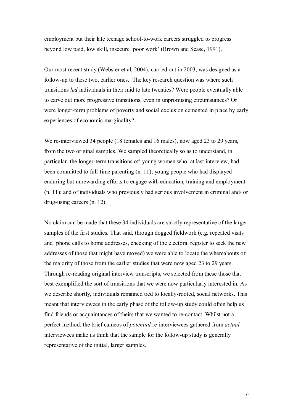employment but their late teenage school-to-work careers struggled to progress beyond low paid, low skill, insecure "poor work" (Brown and Scase, 1991).

Our most recent study (Webster et al, 2004), carried out in 2003, was designed as a follow-up to these two, earlier ones. The key research question was where such transitions *led* individuals in their mid to late twenties? Were people eventually able to carve out more progressive transitions, even in unpromising circumstances? Or were longer-term problems of poverty and social exclusion cemented in place by early experiences of economic marginality?

We re-interviewed 34 people (18 females and 16 males), now aged 23 to 29 years, from the two original samples. We sampled theoretically so as to understand, in particular, the longer-term transitions of: young women who, at last interview, had been committed to full-time parenting (n. 11); young people who had displayed enduring but unrewarding efforts to engage with education, training and employment (n. 11); and of individuals who previously had serious involvement in criminal and/ or drug-using careers (n. 12).

No claim can be made that these 34 individuals are strictly representative of the larger samples of the first studies. That said, through dogged fieldwork (e.g. repeated visits and "phone calls to home addresses, checking of the electoral register to seek the new addresses of those that might have moved) we were able to locate the whereabouts of the majority of those from the earlier studies that were now aged 23 to 29 years. Through re-reading original interview transcripts, we selected from these those that best exemplified the sort of transitions that we were now particularly interested in. As we describe shortly, individuals remained tied to locally-rooted, social networks. This meant that interviewees in the early phase of the follow-up study could often help us find friends or acquaintances of theirs that we wanted to re-contact. Whilst not a perfect method, the brief cameos of *potential* re-interviewees gathered from *actual* interviewees make us think that the sample for the follow-up study is generally representative of the initial, larger samples.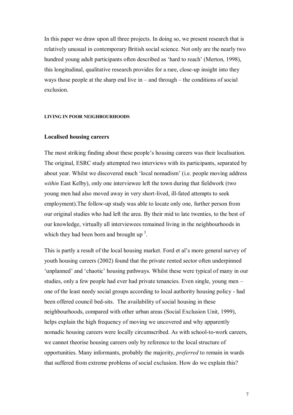In this paper we draw upon all three projects. In doing so, we present research that is relatively unusual in contemporary British social science. Not only are the nearly two hundred young adult participants often described as 'hard to reach' (Merton, 1998), this longitudinal, qualitative research provides for a rare, close-up insight into they ways those people at the sharp end live in – and through – the conditions of social exclusion.

#### **LIVING IN POOR NEIGHBOURHOODS**

#### **Localised housing careers**

The most striking finding about these people"s housing careers was their localisation. The original, ESRC study attempted two interviews with its participants, separated by about year. Whilst we discovered much "local nomadism" (i.e. people moving address *within* East Kelby), only one interviewee left the town during that fieldwork (two young men had also moved away in very short-lived, ill-fated attempts to seek employment).The follow-up study was able to locate only one, further person from our original studies who had left the area. By their mid to late twenties, to the best of our knowledge, virtually all interviewees remained living in the neighbourhoods in which they had been born and brought up<sup>3</sup>.

This is partly a result of the local housing market. Ford et al"s more general survey of youth housing careers (2002) found that the private rented sector often underpinned "unplanned" and "chaotic" housing pathways. Whilst these were typical of many in our studies, only a few people had ever had private tenancies. Even single, young men – one of the least needy social groups according to local authority housing policy - had been offered council bed-sits. The availability of social housing in these neighbourhoods, compared with other urban areas (Social Exclusion Unit, 1999), helps explain the high frequency of moving we uncovered and why apparently nomadic housing careers were locally circumscribed. As with school-to-work careers, we cannot theorise housing careers only by reference to the local structure of opportunities. Many informants, probably the majority, *preferred* to remain in wards that suffered from extreme problems of social exclusion. How do we explain this?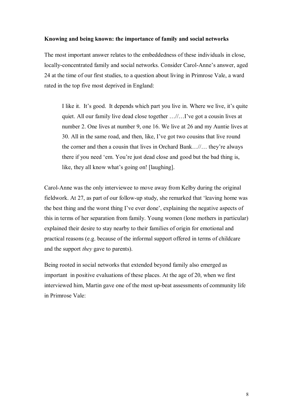#### **Knowing and being known: the importance of family and social networks**

The most important answer relates to the embeddedness of these individuals in close, locally-concentrated family and social networks. Consider Carol-Anne's answer, aged 24 at the time of our first studies, to a question about living in Primrose Vale, a ward rated in the top five most deprived in England:

I like it. It's good. It depends which part you live in. Where we live, it's quite quiet. All our family live dead close together …//…I"ve got a cousin lives at number 2. One lives at number 9, one 16. We live at 26 and my Auntie lives at 30. All in the same road, and then, like, I"ve got two cousins that live round the corner and then a cousin that lives in Orchard Bank…//… they"re always there if you need "em. You"re just dead close and good but the bad thing is, like, they all know what's going on! [laughing].

Carol-Anne was the only interviewee to move away from Kelby during the original fieldwork. At 27, as part of our follow-up study, she remarked that "leaving home was the best thing and the worst thing I've ever done', explaining the negative aspects of this in terms of her separation from family. Young women (lone mothers in particular) explained their desire to stay nearby to their families of origin for emotional and practical reasons (e.g. because of the informal support offered in terms of childcare and the support *they* gave to parents).

Being rooted in social networks that extended beyond family also emerged as important in positive evaluations of these places. At the age of 20, when we first interviewed him, Martin gave one of the most up-beat assessments of community life in Primrose Vale: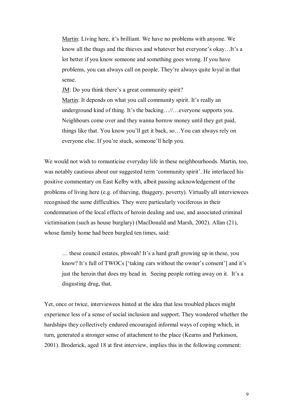Martin: Living here, it's brilliant. We have no problems with anyone. We know all the thugs and the thieves and whatever but everyone's okay...It's a lot better if you know someone and something goes wrong. If you have problems, you can always call on people. They"re always quite loyal in that sense.

JM: Do you think there's a great community spirit? Martin: It depends on what you call community spirit. It's really an underground kind of thing. It's the backing...//...everyone supports you. Neighbours come over and they wanna borrow money until they get paid, things like that. You know you"ll get it back, so…You can always rely on everyone else. If you"re stuck, someone"ll help you.

We would not wish to romanticise everyday life in these neighbourhoods. Martin, too, was notably cautious about our suggested term 'community spirit'. He interlaced his positive commentary on East Kelby with, albeit passing acknowledgement of the problems of living here (e.g. of thieving, thuggery, poverty). Virtually all interviewees recognised the same difficulties. They were particularly vociferous in their condemnation of the local effects of heroin dealing and use, and associated criminal victimisation (such as house burglary) (MacDonald and Marsh, 2002). Allan (21), whose family home had been burgled ten times, said:

... these council estates, phwoah! It's a hard graft growing up in these, you know? It's full of TWOCs ['taking cars without the owner's consent'] and it's just the heroin that does my head in. Seeing people rotting away on it. It's a disgusting drug, that.

Yet, once or twice, interviewees hinted at the idea that less troubled places might experience less of a sense of social inclusion and support. They wondered whether the hardships they collectively endured encouraged informal ways of coping which, in turn, generated a stronger sense of attachment to the place (Kearns and Parkinson, 2001). Broderick, aged 18 at first interview, implies this in the following comment: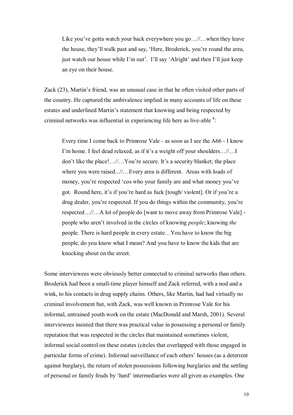Like you've gotta watch your back everywhere you go...//...when they leave the house, they"ll walk past and say, "Here, Broderick, you"re round the area, just watch our house while I'm out'. I'll say 'Alright' and then I'll just keep an eye on their house.

Zack (23), Martin's friend, was an unusual case in that he often visited other parts of the country. He captured the ambivalence implied in many accounts of life on these estates and underlined Martin"s statement that knowing and being respected by criminal networks was influential in experiencing life here as live-able  $4$ :

Every time I come back to Primrose Vale - as soon as I see the A66 - I know I'm home. I feel dead relaxed, as if it's a weight off your shoulders...//...I don't like the place!...//...You're secure. It's a security blanket; the place where you were raised...//…Every area is different. Areas with loads of money, you're respected 'cos who your family are and what money you've got. Round here, it"s if you"re hard as fuck [tough/ violent]. Or if you"re a drug dealer, you"re respected. If you do things within the community, you"re respected…//…A lot of people do [want to move away from Primrose Vale] people who aren"t involved in the circles of knowing *people*; knowing *the* people. There is hard people in every estate…You have to know the big people, do you know what I mean? And you have to know the kids that are knocking about on the street.

Some interviewees were obviously better connected to criminal networks than others. Broderick had been a small-time player himself and Zack referred, with a nod and a wink, to his contacts in drug supply chains. Others, like Martin, had had virtually no criminal involvement but, with Zack, was well known in Primrose Vale for his informal, untrained youth work on the estate (MacDonald and Marsh, 2001). Several interviewees insisted that there was practical value in possessing a personal or family reputation that was respected in the circles that maintained sometimes violent, informal social control on these estates (circles that overlapped with those engaged in particular forms of crime). Informal surveillance of each others" houses (as a deterrent against burglary), the return of stolen possessions following burglaries and the settling of personal or family feuds by "hard" intermediaries were all given as examples. One

10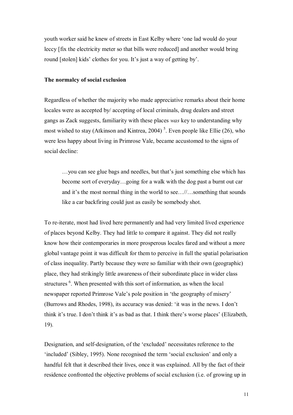youth worker said he knew of streets in East Kelby where "one lad would do your leccy [fix the electricity meter so that bills were reduced] and another would bring round [stolen] kids' clothes for you. It's just a way of getting by'.

#### **The normalcy of social exclusion**

Regardless of whether the majority who made appreciative remarks about their home locales were as accepted by/ accepting of local criminals, drug dealers and street gangs as Zack suggests, familiarity with these places *was* key to understanding why most wished to stay (Atkinson and Kintrea, 2004)<sup>5</sup>. Even people like Ellie (26), who were less happy about living in Primrose Vale, became accustomed to the signs of social decline:

…you can see glue bags and needles, but that"s just something else which has become sort of everyday…going for a walk with the dog past a burnt out car and it's the most normal thing in the world to see...//...something that sounds like a car backfiring could just as easily be somebody shot.

To re-iterate, most had lived here permanently and had very limited lived experience of places beyond Kelby. They had little to compare it against. They did not really know how their contemporaries in more prosperous locales fared and without a more global vantage point it was difficult for them to perceive in full the spatial polarisation of class inequality. Partly because they were so familiar with their own (geographic) place, they had strikingly little awareness of their subordinate place in wider class structures <sup>6</sup>. When presented with this sort of information, as when the local newspaper reported Primrose Vale"s pole position in "the geography of misery" (Burrows and Rhodes, 1998), its accuracy was denied: "it was in the news. I don"t think it's true. I don't think it's as bad as that. I think there's worse places' (Elizabeth, 19).

Designation, and self-designation, of the "excluded" necessitates reference to the 'included' (Sibley, 1995). None recognised the term 'social exclusion' and only a handful felt that it described their lives, once it was explained. All by the fact of their residence confronted the objective problems of social exclusion (i.e. of growing up in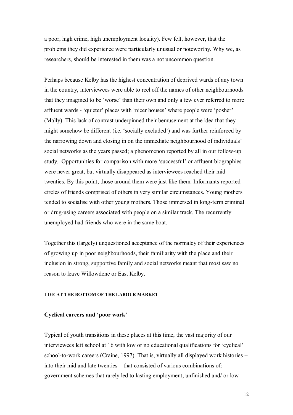a poor, high crime, high unemployment locality). Few felt, however, that the problems they did experience were particularly unusual or noteworthy. Why we, as researchers, should be interested in them was a not uncommon question.

Perhaps because Kelby has the highest concentration of deprived wards of any town in the country, interviewees were able to reel off the names of other neighbourhoods that they imagined to be "worse" than their own and only a few ever referred to more affluent wards - 'quieter' places with 'nicer houses' where people were 'posher' (Mally). This lack of contrast underpinned their bemusement at the idea that they might somehow be different (i.e. "socially excluded") and was further reinforced by the narrowing down and closing in on the immediate neighbourhood of individuals" social networks as the years passed; a phenomenon reported by all in our follow-up study. Opportunities for comparison with more "successful" or affluent biographies were never great, but virtually disappeared as interviewees reached their midtwenties. By this point, those around them were just like them. Informants reported circles of friends comprised of others in very similar circumstances. Young mothers tended to socialise with other young mothers. Those immersed in long-term criminal or drug-using careers associated with people on a similar track. The recurrently unemployed had friends who were in the same boat.

Together this (largely) unquestioned acceptance of the normalcy of their experiences of growing up in poor neighbourhoods, their familiarity with the place and their inclusion in strong, supportive family and social networks meant that most saw no reason to leave Willowdene or East Kelby.

#### **LIFE AT THE BOTTOM OF THE LABOUR MARKET**

#### **Cyclical careers and 'poor work'**

Typical of youth transitions in these places at this time, the vast majority of our interviewees left school at 16 with low or no educational qualifications for "cyclical" school-to-work careers (Craine, 1997). That is, virtually all displayed work histories  $$ into their mid and late twenties – that consisted of various combinations of: government schemes that rarely led to lasting employment; unfinished and/ or low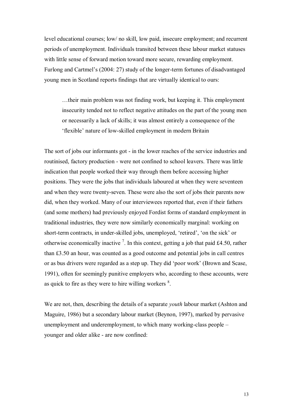level educational courses; low/ no skill, low paid, insecure employment; and recurrent periods of unemployment. Individuals transited between these labour market statuses with little sense of forward motion toward more secure, rewarding employment. Furlong and Cartmel"s (2004: 27) study of the longer-term fortunes of disadvantaged young men in Scotland reports findings that are virtually identical to ours:

…their main problem was not finding work, but keeping it. This employment insecurity tended not to reflect negative attitudes on the part of the young men or necessarily a lack of skills; it was almost entirely a consequence of the "flexible" nature of low-skilled employment in modern Britain

The sort of jobs our informants got - in the lower reaches of the service industries and routinised, factory production - were not confined to school leavers. There was little indication that people worked their way through them before accessing higher positions. They were the jobs that individuals laboured at when they were seventeen and when they were twenty-seven. These were also the sort of jobs their parents now did, when they worked. Many of our interviewees reported that, even if their fathers (and some mothers) had previously enjoyed Fordist forms of standard employment in traditional industries, they were now similarly economically marginal: working on short-term contracts, in under-skilled jobs, unemployed, "retired", "on the sick" or otherwise economically inactive  $\frac{7}{1}$ . In this context, getting a job that paid £4.50, rather than £3.50 an hour, was counted as a good outcome and potential jobs in call centres or as bus drivers were regarded as a step up. They did "poor work" (Brown and Scase, 1991), often for seemingly punitive employers who, according to these accounts, were as quick to fire as they were to hire willing workers  $\mathrm{^{8}}$ .

We are not, then, describing the details of a separate *youth* labour market (Ashton and Maguire, 1986) but a secondary labour market (Beynon, 1997), marked by pervasive unemployment and underemployment, to which many working-class people – younger and older alike - are now confined: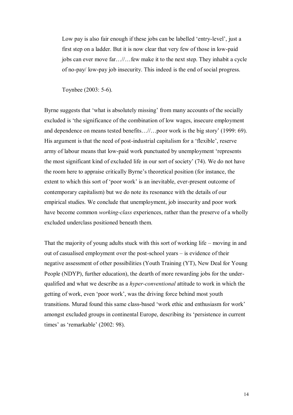Low pay is also fair enough if these jobs can be labelled 'entry-level', just a first step on a ladder. But it is now clear that very few of those in low-paid jobs can ever move far…//…few make it to the next step. They inhabit a cycle of no-pay/ low-pay job insecurity. This indeed is the end of social progress.

Toynbee (2003: 5-6).

Byrne suggests that 'what is absolutely missing' from many accounts of the socially excluded is "the significance of the combination of low wages, insecure employment and dependence on means tested benefits...//...poor work is the big story' (1999: 69). His argument is that the need of post-industrial capitalism for a "flexible", reserve army of labour means that low-paid work punctuated by unemployment "represents the most significant kind of excluded life in our sort of society" (74). We do not have the room here to appraise critically Byrne"s theoretical position (for instance, the extent to which this sort of 'poor work' is an inevitable, ever-present outcome of contemporary capitalism) but we do note its resonance with the details of our empirical studies. We conclude that unemployment, job insecurity and poor work have become common *working-class* experiences, rather than the preserve of a wholly excluded underclass positioned beneath them.

That the majority of young adults stuck with this sort of working life – moving in and out of casualised employment over the post-school years – is evidence of their negative assessment of other possibilities (Youth Training (YT), New Deal for Young People (NDYP), further education), the dearth of more rewarding jobs for the underqualified and what we describe as a *hyper-conventional* attitude to work in which the getting of work, even "poor work", was the driving force behind most youth transitions. Murad found this same class-based "work ethic and enthusiasm for work" amongst excluded groups in continental Europe, describing its "persistence in current times' as 'remarkable' (2002: 98).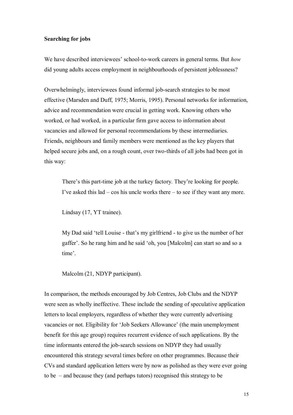#### **Searching for jobs**

We have described interviewees' school-to-work careers in general terms. But *how* did young adults access employment in neighbourhoods of persistent joblessness?

Overwhelmingly, interviewees found informal job-search strategies to be most effective (Marsden and Duff, 1975; Morris, 1995). Personal networks for information, advice and recommendation were crucial in getting work. Knowing others who worked, or had worked, in a particular firm gave access to information about vacancies and allowed for personal recommendations by these intermediaries. Friends, neighbours and family members were mentioned as the key players that helped secure jobs and, on a rough count, over two-thirds of all jobs had been got in this way:

There's this part-time job at the turkey factory. They're looking for people. I"ve asked this lad – cos his uncle works there – to see if they want any more.

Lindsay (17, YT trainee).

My Dad said "tell Louise - that"s my girlfriend - to give us the number of her gaffer". So he rang him and he said "oh, you [Malcolm] can start so and so a time".

Malcolm (21, NDYP participant).

In comparison, the methods encouraged by Job Centres, Job Clubs and the NDYP were seen as wholly ineffective. These include the sending of speculative application letters to local employers, regardless of whether they were currently advertising vacancies or not. Eligibility for "Job Seekers Allowance" (the main unemployment benefit for this age group) requires recurrent evidence of such applications. By the time informants entered the job-search sessions on NDYP they had usually encountered this strategy several times before on other programmes. Because their CVs and standard application letters were by now as polished as they were ever going to be – and because they (and perhaps tutors) recognised this strategy to be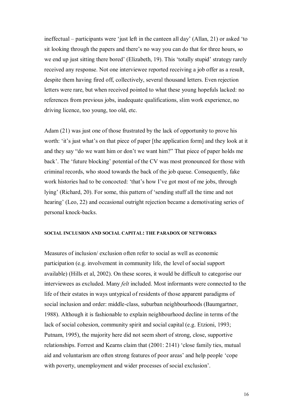ineffectual – participants were "just left in the canteen all day" (Allan, 21) or asked "to sit looking through the papers and there"s no way you can do that for three hours, so we end up just sitting there bored' (Elizabeth, 19). This 'totally stupid' strategy rarely received any response. Not one interviewee reported receiving a job offer as a result, despite them having fired off, collectively, several thousand letters. Even rejection letters were rare, but when received pointed to what these young hopefuls lacked: no references from previous jobs, inadequate qualifications, slim work experience, no driving licence, too young, too old, etc.

Adam (21) was just one of those frustrated by the lack of opportunity to prove his worth: "it"s just what"s on that piece of paper [the application form] and they look at it and they say "do we want him or don"t we want him?" That piece of paper holds me back". The "future blocking" potential of the CV was most pronounced for those with criminal records, who stood towards the back of the job queue. Consequently, fake work histories had to be concocted: 'that's how I've got most of me jobs, through lying" (Richard, 20). For some, this pattern of "sending stuff all the time and not hearing" (Leo, 22) and occasional outright rejection became a demotivating series of personal knock-backs.

#### **SOCIAL INCLUSION AND SOCIAL CAPITAL: THE PARADOX OF NETWORKS**

Measures of inclusion/ exclusion often refer to social as well as economic participation (e.g. involvement in community life, the level of social support available) (Hills et al, 2002). On these scores, it would be difficult to categorise our interviewees as excluded. Many *felt* included. Most informants were connected to the life of their estates in ways untypical of residents of those apparent paradigms of social inclusion and order: middle-class, suburban neighbourhoods (Baumgartner, 1988). Although it is fashionable to explain neighbourhood decline in terms of the lack of social cohesion, community spirit and social capital (e.g. Etzioni, 1993; Putnam, 1995), the majority here did not seem short of strong, close, supportive relationships. Forrest and Kearns claim that (2001: 2141) "close family ties, mutual aid and voluntarism are often strong features of poor areas" and help people "cope with poverty, unemployment and wider processes of social exclusion'.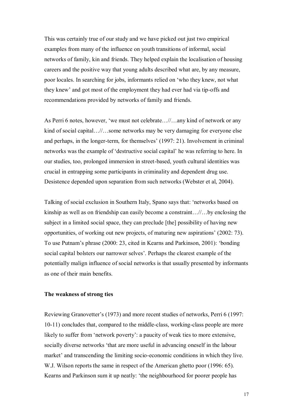This was certainly true of our study and we have picked out just two empirical examples from many of the influence on youth transitions of informal, social networks of family, kin and friends. They helped explain the localisation of housing careers and the positive way that young adults described what are, by any measure, poor locales. In searching for jobs, informants relied on "who they knew, not what they knew" and got most of the employment they had ever had via tip-offs and recommendations provided by networks of family and friends.

As Perri 6 notes, however, "we must not celebrate…//…any kind of network or any kind of social capital…//…some networks may be very damaging for everyone else and perhaps, in the longer-term, for themselves' (1997: 21). Involvement in criminal networks was the example of "destructive social capital" he was referring to here. In our studies, too, prolonged immersion in street-based, youth cultural identities was crucial in entrapping some participants in criminality and dependent drug use. Desistence depended upon separation from such networks (Webster et al, 2004).

Talking of social exclusion in Southern Italy, Spano says that: "networks based on kinship as well as on friendship can easily become a constraint…//…by enclosing the subject in a limited social space, they can preclude [the] possibility of having new opportunities, of working out new projects, of maturing new aspirations" (2002: 73). To use Putnam"s phrase (2000: 23, cited in Kearns and Parkinson, 2001): "bonding social capital bolsters our narrower selves". Perhaps the clearest example of the potentially malign influence of social networks is that usually presented by informants as one of their main benefits.

#### **The weakness of strong ties**

Reviewing Granovetter's (1973) and more recent studies of networks, Perri 6 (1997: 10-11) concludes that, compared to the middle-class, working-class people are more likely to suffer from 'network poverty': a paucity of weak ties to more extensive, socially diverse networks "that are more useful in advancing oneself in the labour market' and transcending the limiting socio-economic conditions in which they live. W.J. Wilson reports the same in respect of the American ghetto poor (1996: 65). Kearns and Parkinson sum it up neatly: "the neighbourhood for poorer people has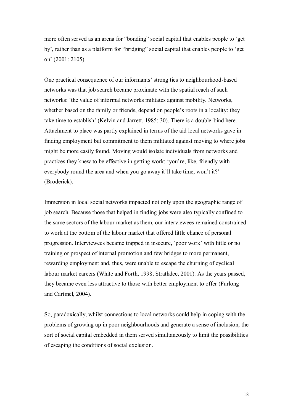more often served as an arena for "bonding" social capital that enables people to "get by", rather than as a platform for "bridging" social capital that enables people to "get on' (2001: 2105).

One practical consequence of our informants" strong ties to neighbourhood-based networks was that job search became proximate with the spatial reach of such networks: "the value of informal networks militates against mobility. Networks, whether based on the family or friends, depend on people"s roots in a locality: they take time to establish" (Kelvin and Jarrett, 1985: 30). There is a double-bind here. Attachment to place was partly explained in terms of the aid local networks gave in finding employment but commitment to them militated against moving to where jobs might be more easily found. Moving would isolate individuals from networks and practices they knew to be effective in getting work: "you"re, like, friendly with everybody round the area and when you go away it'll take time, won't it?' (Broderick).

Immersion in local social networks impacted not only upon the geographic range of job search. Because those that helped in finding jobs were also typically confined to the same sectors of the labour market as them, our interviewees remained constrained to work at the bottom of the labour market that offered little chance of personal progression. Interviewees became trapped in insecure, "poor work" with little or no training or prospect of internal promotion and few bridges to more permanent, rewarding employment and, thus, were unable to escape the churning of cyclical labour market careers (White and Forth, 1998; Strathdee, 2001). As the years passed, they became even less attractive to those with better employment to offer (Furlong and Cartmel, 2004).

So, paradoxically, whilst connections to local networks could help in coping with the problems of growing up in poor neighbourhoods and generate a sense of inclusion, the sort of social capital embedded in them served simultaneously to limit the possibilities of escaping the conditions of social exclusion.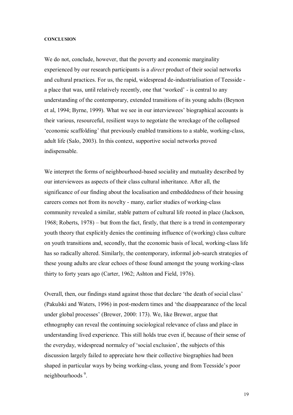#### **CONCLUSION**

We do not, conclude, however, that the poverty and economic marginality experienced by our research participants is a *direct* product of their social networks and cultural practices. For us, the rapid, widespread de-industrialisation of Teesside a place that was, until relatively recently, one that "worked" - is central to any understanding of the contemporary, extended transitions of its young adults (Beynon et al, 1994; Byrne, 1999). What we see in our interviewees" biographical accounts is their various, resourceful, resilient ways to negotiate the wreckage of the collapsed "economic scaffolding" that previously enabled transitions to a stable, working-class, adult life (Salo, 2003). In this context, supportive social networks proved indispensable.

We interpret the forms of neighbourhood-based sociality and mutuality described by our interviewees as aspects of their class cultural inheritance. After all, the significance of our finding about the localisation and embeddedness of their housing careers comes not from its novelty - many, earlier studies of working-class community revealed a similar, stable pattern of cultural life rooted in place (Jackson, 1968; Roberts, 1978) – but from the fact, firstly, that there is a trend in contemporary youth theory that explicitly denies the continuing influence of (working) class culture on youth transitions and, secondly, that the economic basis of local, working-class life has so radically altered. Similarly, the contemporary, informal job-search strategies of these young adults are clear echoes of those found amongst the young working-class thirty to forty years ago (Carter, 1962; Ashton and Field, 1976).

Overall, then, our findings stand against those that declare "the death of social class" (Pakulski and Waters, 1996) in post-modern times and "the disappearance of the local under global processes" (Brewer, 2000: 173). We, like Brewer, argue that ethnography can reveal the continuing sociological relevance of class and place in understanding lived experience. This still holds true even if, because of their sense of the everyday, widespread normalcy of "social exclusion", the subjects of this discussion largely failed to appreciate how their collective biographies had been shaped in particular ways by being working-class, young and from Teesside"s poor neighbourhoods<sup>9</sup>.

19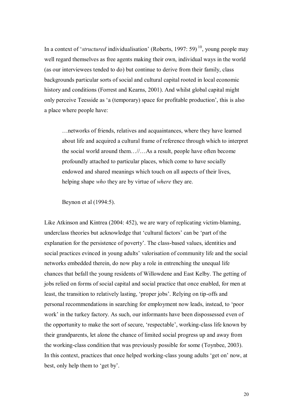In a context of *'structured* individualisation' (Roberts, 1997: 59)<sup>10</sup>, young people may well regard themselves as free agents making their own, individual ways in the world (as our interviewees tended to do) but continue to derive from their family, class backgrounds particular sorts of social and cultural capital rooted in local economic history and conditions (Forrest and Kearns, 2001). And whilst global capital might only perceive Teesside as "a (temporary) space for profitable production", this is also a place where people have:

…networks of friends, relatives and acquaintances, where they have learned about life and acquired a cultural frame of reference through which to interpret the social world around them…//…As a result, people have often become profoundly attached to particular places, which come to have socially endowed and shared meanings which touch on all aspects of their lives, helping shape *who* they are by virtue of *where* they are.

Beynon et al (1994:5).

Like Atkinson and Kintrea (2004: 452), we are wary of replicating victim-blaming, underclass theories but acknowledge that "cultural factors" can be "part of the explanation for the persistence of poverty". The class-based values, identities and social practices evinced in young adults' valorisation of community life and the social networks embedded therein, do now play a role in entrenching the unequal life chances that befall the young residents of Willowdene and East Kelby. The getting of jobs relied on forms of social capital and social practice that once enabled, for men at least, the transition to relatively lasting, "proper jobs". Relying on tip-offs and personal recommendations in searching for employment now leads, instead, to "poor work" in the turkey factory. As such, our informants have been dispossessed even of the opportunity to make the sort of secure, "respectable", working-class life known by their grandparents, let alone the chance of limited social progress up and away from the working-class condition that was previously possible for some (Toynbee, 2003). In this context, practices that once helped working-class young adults "get on" now, at best, only help them to "get by".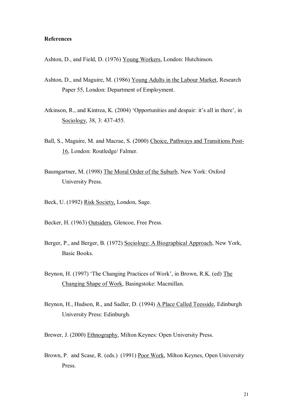#### **References**

Ashton, D., and Field, D. (1976) Young Workers, London: Hutchinson.

- Ashton, D., and Maguire, M. (1986) Young Adults in the Labour Market, Research Paper 55, London: Department of Employment.
- Atkinson, R., and Kintrea, K. (2004) 'Opportunities and despair: it's all in there', in Sociology, 38, 3: 437-455.
- Ball, S., Maguire, M. and Macrae, S. (2000) Choice, Pathways and Transitions Post-16, London: Routledge/ Falmer.
- Baumgartner, M. (1998) The Moral Order of the Suburb, New York: Oxford University Press.
- Beck, U. (1992) Risk Society, London, Sage.
- Becker, H. (1963) Outsiders, Glencoe, Free Press.
- Berger, P., and Berger, B. (1972) Sociology: A Biographical Approach, New York, Basic Books.
- Beynon, H. (1997) 'The Changing Practices of Work', in Brown, R.K. (ed) The Changing Shape of Work, Basingstoke: Macmillan.
- Beynon, H., Hudson, R., and Sadler, D. (1994) A Place Called Teesside, Edinburgh University Press: Edinburgh.
- Brewer, J. (2000) Ethnography, Milton Keynes: Open University Press.
- Brown, P. and Scase, R. (eds.) (1991) Poor Work, Milton Keynes, Open University Press.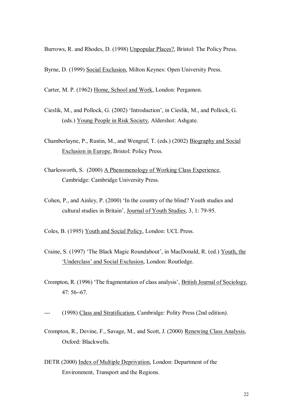Burrows, R. and Rhodes, D. (1998) Unpopular Places?, Bristol: The Policy Press.

Byrne, D. (1999) Social Exclusion, Milton Keynes: Open University Press.

Carter, M. P. (1962) Home, School and Work, London: Pergamon.

- Cieslik, M., and Pollock, G. (2002) "Introduction", in Cieslik, M., and Pollock, G. (eds.) Young People in Risk Society, Aldershot: Ashgate.
- Chamberlayne, P., Rustin, M., and Wengraf, T. (eds.) (2002) Biography and Social Exclusion in Europe, Bristol: Policy Press.
- Charlesworth, S. (2000) A Phenomenology of Working Class Experience, Cambridge: Cambridge University Press.
- Cohen, P., and Ainley, P. (2000) "In the country of the blind? Youth studies and cultural studies in Britain", Journal of Youth Studies, 3, 1: 79-95.

Coles, B. (1995) Youth and Social Policy, London: UCL Press.

- Craine, S. (1997) "The Black Magic Roundabout", in MacDonald, R. (ed.) Youth, the "Underclass" and Social Exclusion, London: Routledge.
- Crompton, R. (1996) "The fragmentation of class analysis", British Journal of Sociology, 47: 56--67.
- (1998) Class and Stratification, Cambridge: Polity Press (2nd edition).
- Crompton, R., Devine, F., Savage, M., and Scott, J. (2000) Renewing Class Analysis, Oxford: Blackwells.
- DETR (2000) Index of Multiple Deprivation, London: Department of the Environment, Transport and the Regions.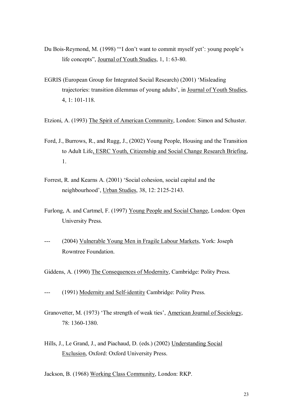- Du Bois-Reymond, M. (1998) "'I don't want to commit myself yet': young people's life concepts", Journal of Youth Studies, 1, 1: 63-80.
- EGRIS (European Group for Integrated Social Research) (2001) "Misleading trajectories: transition dilemmas of young adults", in Journal of Youth Studies, 4, 1: 101-118.
- Etzioni, A. (1993) The Spirit of American Community, London: Simon and Schuster.
- Ford, J., Burrows, R., and Rugg, J., (2002) Young People, Housing and the Transition to Adult Life, ESRC Youth, Citizenship and Social Change Research Briefing, 1.
- Forrest, R. and Kearns A. (2001) "Social cohesion, social capital and the neighbourhood", Urban Studies, 38, 12: 2125-2143.
- Furlong, A. and Cartmel, F. (1997) Young People and Social Change, London: Open University Press.
- --- (2004) Vulnerable Young Men in Fragile Labour Markets, York: Joseph Rowntree Foundation.
- Giddens, A. (1990) The Consequences of Modernity, Cambridge: Polity Press.
- --- (1991) Modernity and Self-identity Cambridge: Polity Press.
- Granovetter, M. (1973) 'The strength of weak ties', American Journal of Sociology, 78: 1360-1380.
- Hills, J., Le Grand, J., and Piachaud, D. (eds.) (2002) Understanding Social Exclusion, Oxford: Oxford University Press.

Jackson, B. (1968) Working Class Community, London: RKP.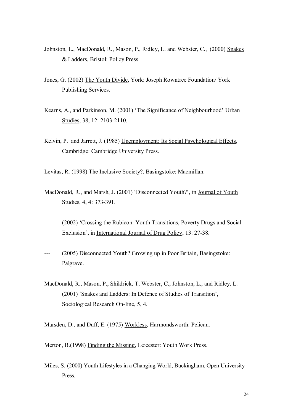- Johnston, L., MacDonald, R., Mason, P., Ridley, L. and Webster, C., (2000) Snakes & Ladders, Bristol: Policy Press
- Jones, G. (2002) The Youth Divide, York: Joseph Rowntree Foundation/ York Publishing Services.
- Kearns, A., and Parkinson, M. (2001) "The Significance of Neighbourhood" Urban Studies, 38, 12: 2103-2110.
- Kelvin, P. and Jarrett, J. (1985) Unemployment: Its Social Psychological Effects, Cambridge: Cambridge University Press.

Levitas, R. (1998) The Inclusive Society?, Basingstoke: Macmillan.

- MacDonald, R., and Marsh, J. (2001) "Disconnected Youth?", in Journal of Youth Studies, 4, 4: 373-391.
- --- (2002) "Crossing the Rubicon: Youth Transitions, Poverty Drugs and Social Exclusion', in International Journal of Drug Policy, 13: 27-38.
- --- (2005) Disconnected Youth? Growing up in Poor Britain, Basingstoke: Palgrave.
- MacDonald, R., Mason, P., Shildrick, T, Webster, C., Johnston, L., and Ridley, L. (2001) "Snakes and Ladders: In Defence of Studies of Transition", Sociological Research On-line, 5, 4.

Marsden, D., and Duff, E. (1975) Workless, Harmondsworth: Pelican.

Merton, B.(1998) Finding the Missing, Leicester: Youth Work Press.

Miles, S. (2000) Youth Lifestyles in a Changing World, Buckingham, Open University Press.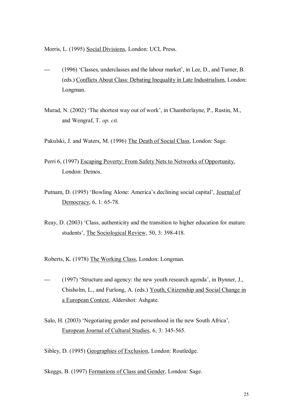Morris, L. (1995) Social Divisions, London: UCL Press.

- --- (1996) "Classes, underclasses and the labour market", in Lee, D., and Turner, B. (eds.) Conflicts About Class: Debating Inequality in Late Industrialism, London: Longman.
- Murad, N. (2002) 'The shortest way out of work', in Chamberlayne, P., Rustin, M., and Wengraf, T. *op. cit.*
- Pakulski, J. and Waters, M. (1996) The Death of Social Class, London: Sage.
- Perri 6, (1997) Escaping Poverty: From Safety Nets to Networks of Opportunity, London: Demos.
- Putnam, D. (1995) 'Bowling Alone: America's declining social capital', Journal of Democracy, 6, 1: 65-78.
- Reay, D. (2003) "Class, authenticity and the transition to higher education for mature students", The Sociological Review, 50, 3: 398-418.

Roberts, K. (1978) The Working Class, London: Longman.

- --- (1997) "Structure and agency: the new youth research agenda", in Bynner, J., Chisholm, L., and Furlong, A. (eds.) Youth, Citizenship and Social Change in a European Context, Aldershot: Ashgate.
- Salo, H. (2003) "Negotiating gender and personhood in the new South Africa", European Journal of Cultural Studies, 6, 3: 345-565.

Sibley, D. (1995) Geographies of Exclusion, London: Routledge.

Skeggs, B. (1997) Formations of Class and Gender, London: Sage.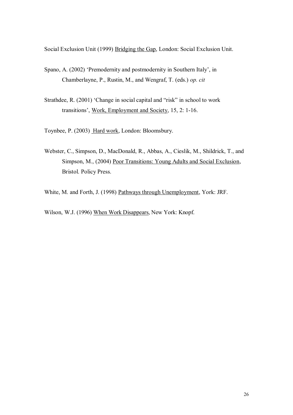Social Exclusion Unit (1999) Bridging the Gap, London: Social Exclusion Unit.

- Spano, A. (2002) "Premodernity and postmodernity in Southern Italy", in Chamberlayne, P., Rustin, M., and Wengraf, T. (eds.) *op. cit*
- Strathdee, R. (2001) "Change in social capital and "risk" in school to work transitions', Work, Employment and Society, 15, 2: 1-16.
- Toynbee, P. (2003) Hard work, London: Bloomsbury.
- Webster, C., Simpson, D., MacDonald, R., Abbas, A., Cieslik, M., Shildrick, T., and Simpson, M., (2004) Poor Transitions: Young Adults and Social Exclusion, Bristol. Policy Press.
- White, M. and Forth, J. (1998) Pathways through Unemployment, York: JRF.

Wilson, W.J. (1996) When Work Disappears, New York: Knopf.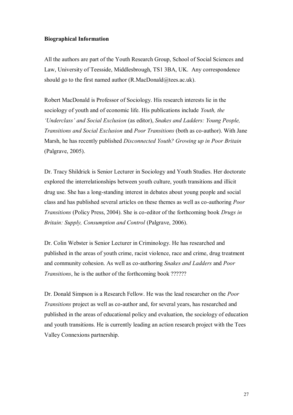#### **Biographical Information**

All the authors are part of the Youth Research Group, School of Social Sciences and Law, University of Teesside, Middlesbrough, TS1 3BA, UK. Any correspondence should go to the first named author  $(R_MacDonald@tees.ac.uk)$ .

Robert MacDonald is Professor of Sociology. His research interests lie in the sociology of youth and of economic life. His publications include *Youth, the 'Underclass' and Social Exclusion* (as editor), *Snakes and Ladders: Young People, Transitions and Social Exclusion* and *Poor Transitions* (both as co-author). With Jane Marsh, he has recently published *Disconnected Youth? Growing up in Poor Britain*  (Palgrave, 2005).

Dr. Tracy Shildrick is Senior Lecturer in Sociology and Youth Studies. Her doctorate explored the interrelationships between youth culture, youth transitions and illicit drug use. She has a long-standing interest in debates about young people and social class and has published several articles on these themes as well as co-authoring *Poor Transitions* (Policy Press, 2004). She is co-editor of the forthcoming book *Drugs in Britain: Supply, Consumption and Control (Palgrave, 2006).* 

Dr. Colin Webster is Senior Lecturer in Criminology. He has researched and published in the areas of youth crime, racist violence, race and crime, drug treatment and community cohesion. As well as co-authoring *Snakes and Ladders* and *Poor Transitions*, he is the author of the forthcoming book ??????

Dr. Donald Simpson is a Research Fellow. He was the lead researcher on the *Poor Transitions* project as well as co-author and, for several years, has researched and published in the areas of educational policy and evaluation, the sociology of education and youth transitions. He is currently leading an action research project with the Tees Valley Connexions partnership.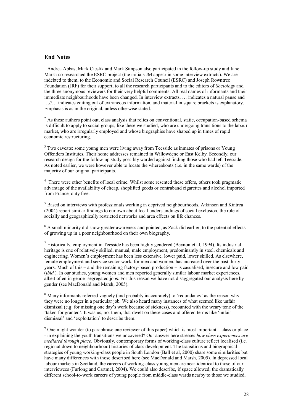#### **End Notes**

-

<sup>1</sup> Andrea Abbas, Mark Cieslik and Mark Simpson also participated in the follow-up study and Jane Marsh co-researched the ESRC project (the initials JM appear in some interview extracts). We are indebted to them, to the Economic and Social Research Council (ESRC) and Joseph Rowntree Foundation (JRF) for their support, to all the research participants and to the editors of *Sociology* and the three anonymous reviewers for their very helpful comments. All real names of informants and their immediate neighbourhoods have been changed. In interview extracts, … indicates a natural pause and …//… indicates editing out of extraneous information, and material in square brackets is explanatory. Emphasis is as in the original, unless otherwise stated.

 $2^2$  As these authors point out, class analysis that relies on conventional, static, occupation-based schema is difficult to apply to social groups, like these we studied, who are undergoing transitions to the labour market, who are irregularly employed and whose biographies have shaped up in times of rapid economic restructuring.

<sup>3</sup> Two caveats: some young men were living away from Teesside as inmates of prisons or Young Offenders Institutes. Their home addresses remained in Willowdene or East Kelby. Secondly, our research design for the follow-up study possibly warded against finding those who had left Teesside. As noted earlier, we were however able to locate the whereabouts (i.e. in the same wards) of the majority of our original participants.

<sup>4</sup> There were other benefits of local crime. Whilst some resented these offers, others took pragmatic advantage of the availability of cheap, shoplifted goods or contraband cigarettes and alcohol imported from France, duty free.

<sup>5</sup> Based on interviews with professionals working in deprived neighbourhoods, Atkinson and Kintrea (2004) report similar findings to our own about local understandings of social exclusion, the role of socially and geographically restricted networks and area effects on life chances.

<sup>6</sup> A small minority did show greater awareness and pointed, as Zack did earlier, to the potential effects of growing up in a poor neighbourhood on their own biography.

 $<sup>7</sup>$  Historically, employment in Teesside has been highly gendered (Beynon et al, 1994). Its industrial</sup> heritage is one of relatively skilled, manual, male employment, predominantly in steel, chemicals and engineering. Women"s employment has been less extensive, lower paid, lower skilled. As elsewhere, female employment and service sector work, for men and women, has increased over the past thirty years. Much of this – and the remaining factory-based production – is casualised, insecure and low paid (*ibid.*). In our studies, young women and men reported generally similar labour market experiences, albeit often in gender segregated jobs. For this reason we have not disaggregated our analysis here by gender (see MacDonald and Marsh, 2005).

<sup>8</sup> Many informants referred vaguely (and probably inaccurately) to 'redundancy' as the reason why they were no longer in a particular job. We also heard many instances of what seemed like unfair dismissal (e.g. for missing one day"s work because of sickness), recounted with the weary tone of the "taken for granted". It was us, not them, that dwelt on these cases and offered terms like "unfair dismissal" and "exploitation" to describe them.

 $9$  One might wonder (to paraphrase one reviewer of this paper) which is most important – class or place - in explaining the youth transitions we uncovered? Our answer here stresses *how class experiences are mediated through place*. Obviously, contemporary forms of working-class culture reflect localised (i.e. regional down to neighbourhood) histories of class development. The transitions and biographical strategies of young working-class people in South London (Ball et al, 2000) share some similarities but have many differences with those described here (see MacDonald and Marsh, 2005). In depressed local labour markets in Scotland, the careers of working-class young men are near-identical to those of our interviewees (Furlong and Cartmel, 2004). We could also describe, if space allowed, the dramatically different school-to-work careers of young people from middle-class wards nearby to those we studied.